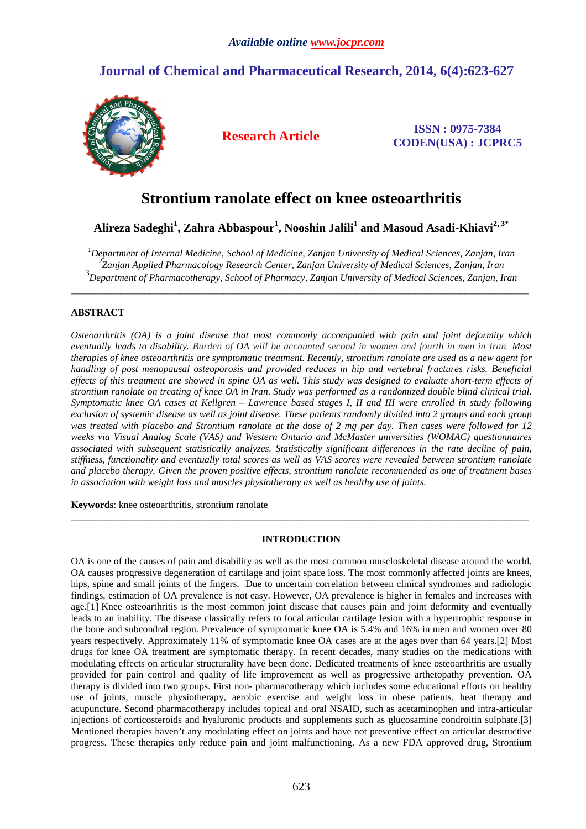## **Journal of Chemical and Pharmaceutical Research, 2014, 6(4):623-627**



**Research Article ISSN : 0975-7384 CODEN(USA) : JCPRC5**

# **Strontium ranolate effect on knee osteoarthritis**

**Alireza Sadeghi<sup>1</sup> , Zahra Abbaspour<sup>1</sup> , Nooshin Jalili<sup>1</sup> and Masoud Asadi-Khiavi2, 3\*** 

*<sup>1</sup>Department of Internal Medicine, School of Medicine, Zanjan University of Medical Sciences, Zanjan, Iran 2 Zanjan Applied Pharmacology Research Center, Zanjan University of Medical Sciences, Zanjan, Iran* 3 *Department of Pharmacotherapy, School of Pharmacy, Zanjan University of Medical Sciences, Zanjan, Iran*

\_\_\_\_\_\_\_\_\_\_\_\_\_\_\_\_\_\_\_\_\_\_\_\_\_\_\_\_\_\_\_\_\_\_\_\_\_\_\_\_\_\_\_\_\_\_\_\_\_\_\_\_\_\_\_\_\_\_\_\_\_\_\_\_\_\_\_\_\_\_\_\_\_\_\_\_\_\_\_\_\_\_\_\_\_\_\_\_\_\_\_\_\_

## **ABSTRACT**

*Osteoarthritis (OA) is a joint disease that most commonly accompanied with pain and joint deformity which eventually leads to disability. Burden of OA will be accounted second in women and fourth in men in Iran. Most therapies of knee osteoarthritis are symptomatic treatment. Recently, strontium ranolate are used as a new agent for handling of post menopausal osteoporosis and provided reduces in hip and vertebral fractures risks. Beneficial effects of this treatment are showed in spine OA as well. This study was designed to evaluate short-term effects of strontium ranolate on treating of knee OA in Iran. Study was performed as a randomized double blind clinical trial. Symptomatic knee OA cases at Kellgren – Lawrence based stages I, II and III were enrolled in study following exclusion of systemic disease as well as joint disease. These patients randomly divided into 2 groups and each group was treated with placebo and Strontium ranolate at the dose of 2 mg per day. Then cases were followed for 12 weeks via Visual Analog Scale (VAS) and Western Ontario and McMaster universities (WOMAC) questionnaires associated with subsequent statistically analyzes. Statistically significant differences in the rate decline of pain, stiffness, functionality and eventually total scores as well as VAS scores were revealed between strontium ranolate and placebo therapy. Given the proven positive effects, strontium ranolate recommended as one of treatment bases in association with weight loss and muscles physiotherapy as well as healthy use of joints.* 

**Keywords**: knee osteoarthritis, strontium ranolate

### **INTRODUCTION**

\_\_\_\_\_\_\_\_\_\_\_\_\_\_\_\_\_\_\_\_\_\_\_\_\_\_\_\_\_\_\_\_\_\_\_\_\_\_\_\_\_\_\_\_\_\_\_\_\_\_\_\_\_\_\_\_\_\_\_\_\_\_\_\_\_\_\_\_\_\_\_\_\_\_\_\_\_\_\_\_\_\_\_\_\_\_\_\_\_\_\_\_\_

OA is one of the causes of pain and disability as well as the most common muscloskeletal disease around the world. OA causes progressive degeneration of cartilage and joint space loss. The most commonly affected joints are knees, hips, spine and small joints of the fingers. Due to uncertain correlation between clinical syndromes and radiologic findings, estimation of OA prevalence is not easy. However, OA prevalence is higher in females and increases with age.[1] Knee osteoarthritis is the most common joint disease that causes pain and joint deformity and eventually leads to an inability. The disease classically refers to focal articular cartilage lesion with a hypertrophic response in the bone and subcondral region. Prevalence of symptomatic knee OA is 5.4% and 16% in men and women over 80 years respectively. Approximately 11% of symptomatic knee OA cases are at the ages over than 64 years.[2] Most drugs for knee OA treatment are symptomatic therapy. In recent decades, many studies on the medications with modulating effects on articular structurality have been done. Dedicated treatments of knee osteoarthritis are usually provided for pain control and quality of life improvement as well as progressive arthetopathy prevention. OA therapy is divided into two groups. First non- pharmacotherapy which includes some educational efforts on healthy use of joints, muscle physiotherapy, aerobic exercise and weight loss in obese patients, heat therapy and acupuncture. Second pharmacotherapy includes topical and oral NSAID, such as acetaminophen and intra-articular injections of corticosteroids and hyaluronic products and supplements such as glucosamine condroitin sulphate.[3] Mentioned therapies haven't any modulating effect on joints and have not preventive effect on articular destructive progress. These therapies only reduce pain and joint malfunctioning. As a new FDA approved drug, Strontium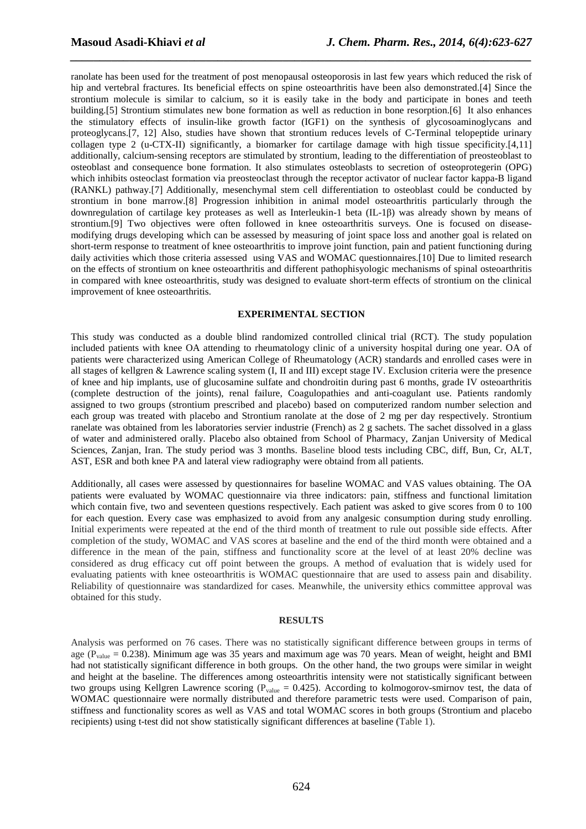ranolate has been used for the treatment of post menopausal osteoporosis in last few years which reduced the risk of hip and vertebral fractures. Its beneficial effects on spine osteoarthritis have been also demonstrated.[4] Since the strontium molecule is similar to calcium, so it is easily take in the body and participate in bones and teeth building.[5] Strontium stimulates new bone formation as well as reduction in bone resorption.[6] It also enhances the stimulatory effects of insulin-like growth factor (IGF1) on the synthesis of glycosoaminoglycans and proteoglycans.[7, 12] Also, studies have shown that strontium reduces levels of C-Terminal telopeptide urinary collagen type 2 (u-CTX-II) significantly, a biomarker for cartilage damage with high tissue specificity.[4,11] additionally, calcium-sensing receptors are stimulated by strontium, leading to the differentiation of preosteoblast to osteoblast and consequence bone formation. It also stimulates osteoblasts to secretion of osteoprotegerin (OPG) which inhibits osteoclast formation via preosteoclast through the receptor activator of nuclear factor kappa-B ligand (RANKL) pathway.[7] Additionally, mesenchymal stem cell differentiation to osteoblast could be conducted by strontium in bone marrow.[8] Progression inhibition in animal model osteoarthritis particularly through the downregulation of cartilage key proteases as well as Interleukin-1 beta (IL-1β) was already shown by means of strontium.[9] Two objectives were often followed in knee osteoarthritis surveys. One is focused on diseasemodifying drugs developing which can be assessed by measuring of joint space loss and another goal is related on short-term response to treatment of knee osteoarthritis to improve joint function, pain and patient functioning during daily activities which those criteria assessed using VAS and WOMAC questionnaires.[10] Due to limited research on the effects of strontium on knee osteoarthritis and different pathophisyologic mechanisms of spinal osteoarthritis in compared with knee osteoarthritis, study was designed to evaluate short-term effects of strontium on the clinical improvement of knee osteoarthritis.

*\_\_\_\_\_\_\_\_\_\_\_\_\_\_\_\_\_\_\_\_\_\_\_\_\_\_\_\_\_\_\_\_\_\_\_\_\_\_\_\_\_\_\_\_\_\_\_\_\_\_\_\_\_\_\_\_\_\_\_\_\_\_\_\_\_\_\_\_\_\_\_\_\_\_\_\_\_\_*

#### **EXPERIMENTAL SECTION**

This study was conducted as a double blind randomized controlled clinical trial (RCT). The study population included patients with knee OA attending to rheumatology clinic of a university hospital during one year. OA of patients were characterized using American College of Rheumatology (ACR) standards and enrolled cases were in all stages of kellgren & Lawrence scaling system (I, II and III) except stage IV. Exclusion criteria were the presence of knee and hip implants, use of glucosamine sulfate and chondroitin during past 6 months, grade IV osteoarthritis (complete destruction of the joints), renal failure, Coagulopathies and anti-coagulant use. Patients randomly assigned to two groups (strontium prescribed and placebo) based on computerized random number selection and each group was treated with placebo and Strontium ranolate at the dose of 2 mg per day respectively. Strontium ranelate was obtained from les laboratories servier industrie (French) as 2 g sachets. The sachet dissolved in a glass of water and administered orally. Placebo also obtained from School of Pharmacy, Zanjan University of Medical Sciences, Zanjan, Iran. The study period was 3 months. Baseline blood tests including CBC, diff, Bun, Cr, ALT, AST, ESR and both knee PA and lateral view radiography were obtaind from all patients.

Additionally, all cases were assessed by questionnaires for baseline WOMAC and VAS values obtaining. The OA patients were evaluated by WOMAC questionnaire via three indicators: pain, stiffness and functional limitation which contain five, two and seventeen questions respectively. Each patient was asked to give scores from 0 to 100 for each question. Every case was emphasized to avoid from any analgesic consumption during study enrolling. Initial experiments were repeated at the end of the third month of treatment to rule out possible side effects. After completion of the study, WOMAC and VAS scores at baseline and the end of the third month were obtained and a difference in the mean of the pain, stiffness and functionality score at the level of at least 20% decline was considered as drug efficacy cut off point between the groups. A method of evaluation that is widely used for evaluating patients with knee osteoarthritis is WOMAC questionnaire that are used to assess pain and disability. Reliability of questionnaire was standardized for cases. Meanwhile, the university ethics committee approval was obtained for this study.

#### **RESULTS**

Analysis was performed on 76 cases. There was no statistically significant difference between groups in terms of age ( $P_{value}$  = 0.238). Minimum age was 35 years and maximum age was 70 years. Mean of weight, height and BMI had not statistically significant difference in both groups. On the other hand, the two groups were similar in weight and height at the baseline. The differences among osteoarthritis intensity were not statistically significant between two groups using Kellgren Lawrence scoring ( $P_{value} = 0.425$ ). According to kolmogorov-smirnov test, the data of WOMAC questionnaire were normally distributed and therefore parametric tests were used. Comparison of pain, stiffness and functionality scores as well as VAS and total WOMAC scores in both groups (Strontium and placebo recipients) using t-test did not show statistically significant differences at baseline (Table 1).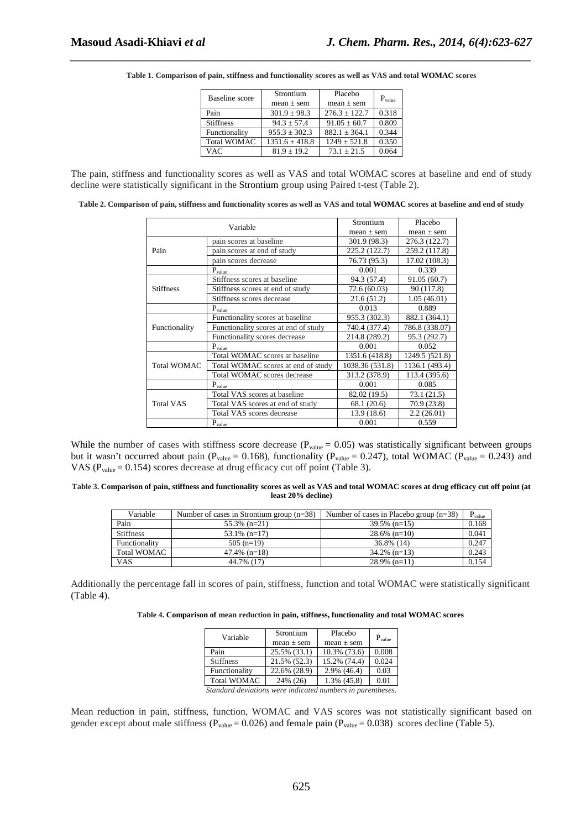| <b>Baseline</b> score | Strontium          | Placebo           | $P_{value}$ |  |
|-----------------------|--------------------|-------------------|-------------|--|
|                       | $mean \pm sem$     | $mean \pm sem$    |             |  |
| Pain                  | $301.9 \pm 98.3$   | $276.3 + 122.7$   | 0.318       |  |
| <b>Stiffness</b>      | $94.3 + 57.4$      | $91.05 \pm 60.7$  | 0.809       |  |
| Functionality         | $955.3 \pm 302.3$  | $882.1 \pm 364.1$ | 0.344       |  |
| <b>Total WOMAC</b>    | $1351.6 \pm 418.8$ | $1249 \pm 521.8$  | 0.350       |  |
| <b>VAC</b>            | $81.9 + 19.2$      | $73.1 + 21.5$     | 0.064       |  |

*\_\_\_\_\_\_\_\_\_\_\_\_\_\_\_\_\_\_\_\_\_\_\_\_\_\_\_\_\_\_\_\_\_\_\_\_\_\_\_\_\_\_\_\_\_\_\_\_\_\_\_\_\_\_\_\_\_\_\_\_\_\_\_\_\_\_\_\_\_\_\_\_\_\_\_\_\_\_* **Table 1. Comparison of pain, stiffness and functionality scores as well as VAS and total WOMAC scores** 

The pain, stiffness and functionality scores as well as VAS and total WOMAC scores at baseline and end of study decline were statistically significant in the Strontium group using Paired t-test (Table 2).

|  | Table 2. Comparison of pain, stiffness and functionality scores as well as VAS and total WOMAC scores at baseline and end of study |
|--|------------------------------------------------------------------------------------------------------------------------------------|
|  |                                                                                                                                    |

| Variable           |                                      | Strontium       | Placebo         |  |
|--------------------|--------------------------------------|-----------------|-----------------|--|
|                    |                                      | $mean \pm sem$  | $mean \pm sem$  |  |
|                    | pain scores at baseline              | 301.9 (98.3)    | 276.3 (122.7)   |  |
| Pain               | pain scores at end of study          | 225.2 (122.7)   | 259.2 (117.8)   |  |
|                    | pain scores decrease                 | 76.73 (95.3)    | 17.02 (108.3)   |  |
|                    | $P_{value}$                          | 0.001           | 0.339           |  |
|                    | Stiffness scores at baseline         | 94.3 (57.4)     | 91.05 (60.7)    |  |
| <b>Stiffness</b>   | Stiffness scores at end of study     | 72.6 (60.03)    | 90 (117.8)      |  |
|                    | Stiffness scores decrease            | 21.6(51.2)      | 1.05(46.01)     |  |
|                    | $\mathbf{P}_{\text{value}}$          | 0.013           | 0.889           |  |
|                    | Functionality scores at baseline     | 955.3 (302.3)   | 882.1 (364.1)   |  |
| Functionality      | Functionality scores at end of study | 740.4 (377.4)   | 786.8 (338.07)  |  |
|                    | Functionality scores decrease        | 214.8 (289.2)   | 95.3 (292.7)    |  |
|                    | $P_{value}$                          | 0.001           | 0.052           |  |
|                    | Total WOMAC scores at baseline       | 1351.6 (418.8)  | 1249.5 ) 521.8) |  |
| <b>Total WOMAC</b> | Total WOMAC scores at end of study   | 1038.36 (531.8) | 1136.1 (493.4)  |  |
|                    | Total WOMAC scores decrease          | 313.2 (378.9)   | 113.4 (395.6)   |  |
|                    | $P_{value}$                          | 0.001           | 0.085           |  |
|                    | Total VAS scores at baseline         | 82.02 (19.5)    | 73.1 (21.5)     |  |
| <b>Total VAS</b>   | Total VAS scores at end of study     | 68.1 (20.6)     | 70.9 (23.8)     |  |
|                    | Total VAS scores decrease            | 13.9 (18.6)     | 2.2(26.01)      |  |
|                    | $P_{value}$                          | 0.001           | 0.559           |  |

While the number of cases with stiffness score decrease ( $P_{value} = 0.05$ ) was statistically significant between groups but it wasn't occurred about pain ( $P_{value} = 0.168$ ), functionality ( $P_{value} = 0.247$ ), total WOMAC ( $P_{value} = 0.243$ ) and VAS ( $P_{value} = 0.154$ ) scores decrease at drug efficacy cut off point (Table 3).

**Table 3. Comparison of pain, stiffness and functionality scores as well as VAS and total WOMAC scores at drug efficacy cut off point (at least 20% decline)** 

| Variable           | Number of cases in Strontium group $(n=38)$ | Number of cases in Placebo group $(n=38)$ | $P_{value}$ |
|--------------------|---------------------------------------------|-------------------------------------------|-------------|
| Pain               | $55.3\%$ (n=21)                             | $39.5\%$ (n=15)                           | 0.168       |
| <b>Stiffness</b>   | $53.1\%$ (n=17)                             | $28.6\%$ (n=10)                           | 0.041       |
| Functionality      | $505$ (n=19)                                | 36.8% (14)                                | 0.247       |
| <b>Total WOMAC</b> | $47.4\%$ (n=18)                             | $34.2\%$ (n=13)                           | 0.243       |
| <b>VAS</b>         | 44.7% (17)                                  | $28.9\%$ (n=11)                           | 0.154       |

Additionally the percentage fall in scores of pain, stiffness, function and total WOMAC were statistically significant (Table 4).

| Table 4. Comparison of mean reduction in pain, stiffness, functionality and total WOMAC scores |  |  |  |  |  |
|------------------------------------------------------------------------------------------------|--|--|--|--|--|
|                                                                                                |  |  |  |  |  |

| Variable                                                   | Strontium      | Placebo        | $P_{value}$ |  |  |  |  |
|------------------------------------------------------------|----------------|----------------|-------------|--|--|--|--|
|                                                            | $mean \pm sem$ | mean $\pm$ sem |             |  |  |  |  |
| Pain                                                       | 25.5% (33.1)   | 10.3% (73.6)   | 0.008       |  |  |  |  |
| <b>Stiffness</b>                                           | 21.5% (52.3)   | 15.2% (74.4)   | 0.024       |  |  |  |  |
| Functionality                                              | 22.6% (28.9)   | 2.9% (46.4)    | 0.03        |  |  |  |  |
| <b>Total WOMAC</b>                                         | 24% (26)       | 1.3% (45.8)    | 0.01        |  |  |  |  |
| Standard deviations were indicated numbers in parentheses. |                |                |             |  |  |  |  |

Mean reduction in pain, stiffness, function, WOMAC and VAS scores was not statistically significant based on gender except about male stiffness ( $P_{value} = 0.026$ ) and female pain ( $P_{value} = 0.038$ ) scores decline (Table 5).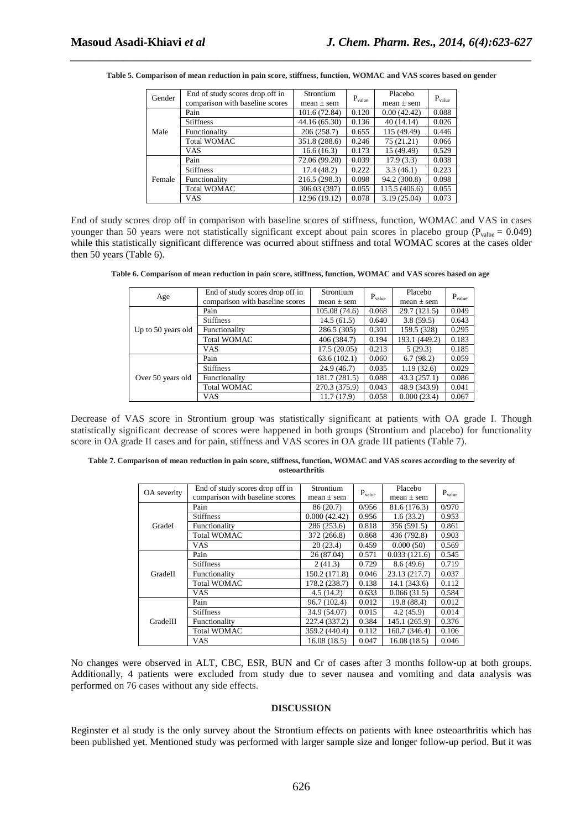| Gender | End of study scores drop off in | Strontium      | $P_{value}$ | Placebo        | $P_{value}$ |
|--------|---------------------------------|----------------|-------------|----------------|-------------|
|        | comparison with baseline scores | $mean \pm sem$ |             | $mean \pm sem$ |             |
|        | Pain                            | 101.6 (72.84)  | 0.120       | 0.00(42.42)    | 0.088       |
|        | <b>Stiffness</b>                | 44.16 (65.30)  | 0.136       | 40(14.14)      | 0.026       |
| Male   | Functionality                   | 206 (258.7)    | 0.655       | 115 (49.49)    | 0.446       |
|        | <b>Total WOMAC</b>              | 351.8 (288.6)  | 0.246       | 75(21.21)      | 0.066       |
|        | VAS                             | 16.6(16.3)     | 0.173       | 15 (49.49)     | 0.529       |
| Female | Pain                            | 72.06 (99.20)  | 0.039       | 17.9(3.3)      | 0.038       |
|        | <b>Stiffness</b>                | 17.4(48.2)     | 0.222       | 3.3(46.1)      | 0.223       |
|        | Functionality                   | 216.5 (298.3)  | 0.098       | 94.2 (300.8)   | 0.098       |
|        | <b>Total WOMAC</b>              | 306.03 (397)   | 0.055       | 115.5 (406.6)  | 0.055       |
|        | VAS.                            | 12.96 (19.12)  | 0.078       | 3.19(25.04)    | 0.073       |

*\_\_\_\_\_\_\_\_\_\_\_\_\_\_\_\_\_\_\_\_\_\_\_\_\_\_\_\_\_\_\_\_\_\_\_\_\_\_\_\_\_\_\_\_\_\_\_\_\_\_\_\_\_\_\_\_\_\_\_\_\_\_\_\_\_\_\_\_\_\_\_\_\_\_\_\_\_\_* **Table 5. Comparison of mean reduction in pain score, stiffness, function, WOMAC and VAS scores based on gender**

End of study scores drop off in comparison with baseline scores of stiffness, function, WOMAC and VAS in cases younger than 50 years were not statistically significant except about pain scores in placebo group ( $P_{value} = 0.049$ ) while this statistically significant difference was ocurred about stiffness and total WOMAC scores at the cases older then 50 years (Table 6).

| Table 6. Comparison of mean reduction in pain score, stiffness, function, WOMAC and VAS scores based on age |  |  |  |  |
|-------------------------------------------------------------------------------------------------------------|--|--|--|--|
|-------------------------------------------------------------------------------------------------------------|--|--|--|--|

| Age                | End of study scores drop off in | Strontium<br>$P_{value}$ |       | Placebo        | $P_{value}$ |
|--------------------|---------------------------------|--------------------------|-------|----------------|-------------|
|                    | comparison with baseline scores | $mean \pm sem$           |       | $mean \pm sem$ |             |
|                    | Pain                            | 105.08 (74.6)            | 0.068 | 29.7 (121.5)   | 0.049       |
|                    | <b>Stiffness</b>                | 14.5(61.5)               | 0.640 | 3.8(59.5)      | 0.643       |
| Up to 50 years old | Functionality                   | 286.5 (305)              | 0.301 | 159.5 (328)    | 0.295       |
|                    | <b>Total WOMAC</b>              | 406 (384.7)              | 0.194 | 193.1 (449.2)  | 0.183       |
|                    | <b>VAS</b>                      | 17.5(20.05)              | 0.213 | 5(29.3)        | 0.185       |
| Over 50 years old  | Pain                            | 63.6(102.1)              | 0.060 | 6.7(98.2)      | 0.059       |
|                    | <b>Stiffness</b>                | 24.9(46.7)               | 0.035 | 1.19(32.6)     | 0.029       |
|                    | Functionality                   | 181.7 (281.5)            | 0.088 | 43.3 (257.1)   | 0.086       |
|                    | <b>Total WOMAC</b>              | 270.3 (375.9)            | 0.043 | 48.9 (343.9)   | 0.041       |
|                    | VAS                             | 11.7 (17.9)              | 0.058 | 0.000(23.4)    | 0.067       |

Decrease of VAS score in Strontium group was statistically significant at patients with OA grade I. Though statistically significant decrease of scores were happened in both groups (Strontium and placebo) for functionality score in OA grade II cases and for pain, stiffness and VAS scores in OA grade III patients (Table 7).

| Table 7. Comparison of mean reduction in pain score, stiffness, function, WOMAC and VAS scores according to the severity of |  |
|-----------------------------------------------------------------------------------------------------------------------------|--|
| osteoarthritis                                                                                                              |  |

|             | End of study scores drop off in | <b>Strontium</b> |             | Placebo        | $P_{value}$ |  |
|-------------|---------------------------------|------------------|-------------|----------------|-------------|--|
| OA severity | comparison with baseline scores | $mean \pm sem$   | $P_{value}$ | $mean \pm sem$ |             |  |
|             | Pain                            | 86 (20.7)        | 0/956       | 81.6 (176.3)   | 0/970       |  |
|             | <b>Stiffness</b>                | 0.000(42.42)     | 0.956       | 1.6(33.2)      | 0.953       |  |
| GradeI      | Functionality                   | 286 (253.6)      | 0.818       | 356 (591.5)    | 0.861       |  |
|             | <b>Total WOMAC</b>              | 372 (266.8)      | 0.868       | 436 (792.8)    | 0.903       |  |
|             | VAS                             | 20(23.4)         | 0.459       | 0.000(50)      | 0.569       |  |
|             | Pain                            | 26 (87.04)       | 0.571       | 0.033(121.6)   | 0.545       |  |
|             | <b>Stiffness</b>                | 2(41.3)          | 0.729       | 8.6(49.6)      | 0.719       |  |
| GradeII     | Functionality                   | 150.2 (171.8)    | 0.046       | 23.13 (217.7)  | 0.037       |  |
|             | <b>Total WOMAC</b>              | 178.2 (238.7)    | 0.138       | 14.1(343.6)    | 0.112       |  |
|             | VAS                             | 4.5(14.2)        | 0.633       | 0.066(31.5)    | 0.584       |  |
|             | Pain                            | 96.7 (102.4)     | 0.012       | 19.8 (88.4)    | 0.012       |  |
| GradeIII    | <b>Stiffness</b>                | 34.9 (54.07)     | 0.015       | 4.2(45.9)      | 0.014       |  |
|             | Functionality                   | 227.4 (337.2)    | 0.384       | 145.1 (265.9)  | 0.376       |  |
|             | <b>Total WOMAC</b>              | 359.2 (440.4)    | 0.112       | 160.7 (346.4)  | 0.106       |  |
|             | VAS                             | 16.08(18.5)      | 0.047       | 16.08(18.5)    | 0.046       |  |

No changes were observed in ALT, CBC, ESR, BUN and Cr of cases after 3 months follow-up at both groups. Additionally, 4 patients were excluded from study due to sever nausea and vomiting and data analysis was performed on 76 cases without any side effects.

#### **DISCUSSION**

Reginster et al study is the only survey about the Strontium effects on patients with knee osteoarthritis which has been published yet. Mentioned study was performed with larger sample size and longer follow-up period. But it was